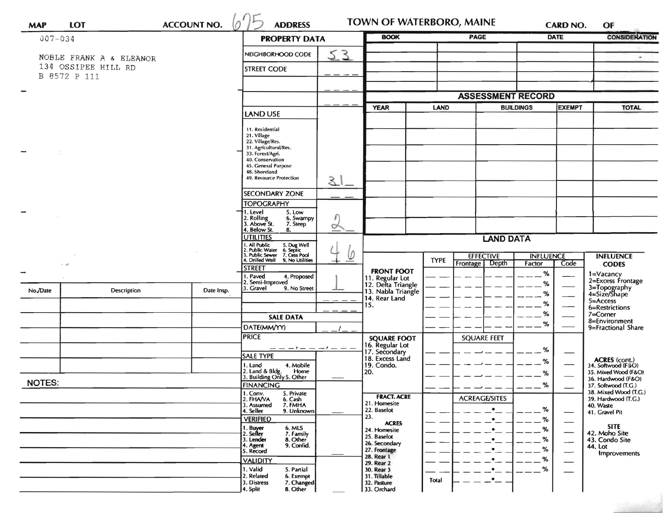| <b>MAP</b>                               | <b>LOT</b>              | <b>ACCOUNT NO.</b> | <b>ADDRESS</b>                                                                                                            |               | TOWN OF WATERBORO, MAINE                                                            |                          |                                    | CARD NO.                   |                          | OF                                           |
|------------------------------------------|-------------------------|--------------------|---------------------------------------------------------------------------------------------------------------------------|---------------|-------------------------------------------------------------------------------------|--------------------------|------------------------------------|----------------------------|--------------------------|----------------------------------------------|
| $007 - 034$                              |                         |                    | <b>PROPERTY DATA</b>                                                                                                      |               | <b>BOOK</b>                                                                         |                          | <b>PAGE</b>                        |                            | <b>DATE</b>              | <b>CONSIDERATION</b>                         |
|                                          | NOBLE FRANK A & ELEANOR |                    | NEIGHBORHOOD CODE                                                                                                         | 53            |                                                                                     |                          |                                    |                            |                          | $\blacksquare$                               |
| 134 OSSIPEE HILL RD                      |                         |                    | <b>STREET CODE</b>                                                                                                        |               |                                                                                     |                          |                                    |                            |                          |                                              |
| B 8572 P 111                             |                         |                    |                                                                                                                           |               |                                                                                     |                          |                                    |                            |                          |                                              |
|                                          |                         |                    |                                                                                                                           |               |                                                                                     | <b>ASSESSMENT RECORD</b> |                                    |                            |                          |                                              |
|                                          |                         |                    |                                                                                                                           |               | <b>YEAR</b><br>LAND                                                                 |                          |                                    | <b>BUILDINGS</b>           | <b>EXEMPT</b>            | <b>TOTAL</b>                                 |
|                                          |                         |                    | LAND USE                                                                                                                  |               |                                                                                     |                          |                                    |                            |                          |                                              |
|                                          |                         |                    | 11. Residential<br>21. Village                                                                                            |               |                                                                                     |                          |                                    |                            |                          |                                              |
|                                          |                         |                    | 22. Village/Res.<br>31. Agricultural/Res.<br>33. Forest/Agri.<br>40. Conservation<br>45. General Purpose<br>48. Shoreland |               |                                                                                     |                          |                                    |                            |                          |                                              |
|                                          |                         |                    |                                                                                                                           |               |                                                                                     |                          |                                    |                            |                          |                                              |
|                                          |                         |                    |                                                                                                                           |               |                                                                                     |                          |                                    |                            |                          |                                              |
|                                          |                         |                    | 49. Resource Protection                                                                                                   | $\mathcal{E}$ |                                                                                     |                          |                                    |                            |                          |                                              |
|                                          |                         |                    | <b>SECONDARY ZONE</b>                                                                                                     |               |                                                                                     |                          |                                    |                            |                          |                                              |
|                                          |                         |                    | <b>TOPOGRAPHY</b><br>5. Low<br>1. Level                                                                                   |               |                                                                                     |                          |                                    |                            |                          |                                              |
|                                          |                         |                    | 2. Rolling<br>3. Above St.<br>6. Swampy<br>7. Steep                                                                       | $\circ$       |                                                                                     |                          |                                    |                            |                          |                                              |
|                                          |                         |                    | 4. Below St.<br>В.<br><b>UTILITIES</b>                                                                                    |               | <b>LAND DATA</b>                                                                    |                          |                                    |                            |                          |                                              |
|                                          |                         |                    | . All Public<br>. Public Water                                                                                            |               |                                                                                     |                          |                                    |                            |                          |                                              |
| $\cdot$ $\cdot$ $\cdot$<br>$\rightarrow$ |                         |                    | 5. Dug Well<br>6. Septic<br>7. Cess Pool<br>9. No Utilities<br><b>Public Sewer</b><br><b>Drilled Well</b>                 | $\varphi$     |                                                                                     | <b>TYPE</b>              | <b>EFFECTIVE</b><br>Frontage Depth | <b>INFLUENCE</b><br>Factor | Code                     | <b>INFLUENCE</b><br><b>CODES</b>             |
|                                          |                         |                    | <b>STREET</b><br>1. Paved<br>4. Proposed                                                                                  |               | <b>FRONT FOOT</b>                                                                   |                          |                                    | %                          |                          | 1=Vacancy                                    |
|                                          | Description             |                    | 2. Semi-Improved<br>3. Gravel<br>9. No Street                                                                             |               | 11. Regular Lot<br>12. Delta Triangle<br>13. Nabla Triangle<br>14. Rear Land<br>15. |                          |                                    | %                          |                          | 2=Excess Frontage                            |
| No./Date                                 |                         | Date Insp.         |                                                                                                                           |               |                                                                                     |                          |                                    | %                          |                          | 3=Topography<br>4=Size/Shape<br>5=Access     |
|                                          |                         |                    |                                                                                                                           |               |                                                                                     |                          |                                    | %<br>%                     |                          | 6=Restrictions<br>$7 =$ Corner               |
|                                          |                         |                    | <b>SALE DATA</b>                                                                                                          |               |                                                                                     |                          |                                    | %                          |                          | 8=Environment                                |
|                                          |                         |                    | DATE(MM/YY)<br><b>PRICE</b>                                                                                               |               | <b>SQUARE FOOT</b><br>16. Regular Lot<br>17. Secondary<br>18. Excess Land           |                          | <b>SQUARE FEET</b>                 |                            |                          | 9=Fractional Share                           |
|                                          |                         |                    |                                                                                                                           |               |                                                                                     |                          |                                    | %                          |                          |                                              |
|                                          |                         |                    | SALE TYPE                                                                                                                 |               |                                                                                     |                          |                                    | $\%$                       |                          | ACRES (cont.)<br>34. Softwood (F4O)          |
|                                          |                         |                    | 1. Land<br>4. Mobile<br>2. Land & Bldg.<br>Home                                                                           |               | 19. Condo.<br>20.                                                                   |                          |                                    | %                          |                          | 35. Mixed Wood (F&O)                         |
| <b>NOTES:</b>                            |                         |                    | 3. Building Only 5. Other<br><b>FINANCING</b>                                                                             |               |                                                                                     |                          |                                    | $\alpha$                   |                          | 36. Hardwood (F&O)<br>37. Softwood (T.G.)    |
|                                          |                         |                    | 1. Conv.<br>5. Private<br>2. FHAVA<br>6. Cash                                                                             |               | <b>FRACT. ACRE</b>                                                                  |                          | $-$<br><b>ACREAGE/SITES</b>        | $- - -$                    | $\overline{\phantom{a}}$ | 38. Mixed Wood (T.G.)<br>39. Hardwood (T.G.) |
|                                          |                         |                    | 7. FMHA<br>3. Assumed<br>4. Seller<br>9. Unknown                                                                          |               | 21. Homesite<br>22. Baselot                                                         |                          | $\bullet$                          | %                          |                          | 40. Waste                                    |
|                                          |                         |                    | <b>VERIFIED</b>                                                                                                           |               | 23.<br><b>ACRES</b>                                                                 |                          | $\cdot$                            | %                          | —                        | 41. Gravel Pit                               |
|                                          |                         |                    | 1. Buyer<br>2. Seller<br>6. MLS<br>7. Family                                                                              |               | 24. Homesite                                                                        |                          | $\bullet$                          | %                          | $\overline{\phantom{0}}$ | <b>SITE</b><br>42. Moho Site                 |
|                                          |                         |                    | 3. Lender<br>8. Other<br>9. Confid.<br>4. Agent                                                                           |               | 25. Baselot<br>26. Secondary                                                        |                          |                                    | %                          | $\overline{\phantom{0}}$ | 43. Condo Site<br>44. Lot                    |
|                                          |                         |                    | 5. Record                                                                                                                 |               | 27. Frontage<br>28. Rear 1                                                          |                          |                                    | %<br>%                     | —                        | <b>Improvements</b>                          |
|                                          |                         |                    | <b>VALIDITY</b><br>1. Valid<br>5. Partial                                                                                 |               | 29. Rear 2<br>30. Rear 3                                                            |                          |                                    | %                          |                          |                                              |
|                                          |                         |                    | 2. Related<br>6. Exempt<br>3. Distress<br>7. Changed                                                                      |               | 31. Tillable<br>32. Pasture                                                         | <b>Total</b>             | $\cdot$                            |                            |                          |                                              |
|                                          |                         |                    | 4. Split<br>8. Other                                                                                                      |               | 33. Orchard                                                                         |                          |                                    |                            |                          |                                              |